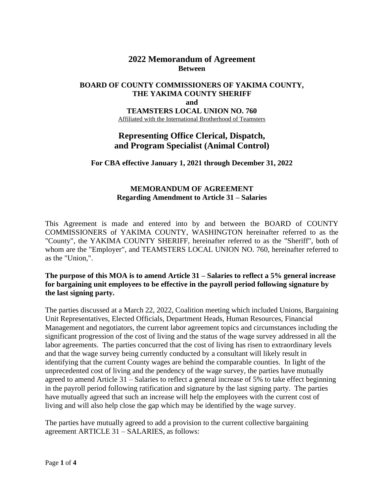## **2022 Memorandum of Agreement Between**

### **BOARD OF COUNTY COMMISSIONERS OF YAKIMA COUNTY, THE YAKIMA COUNTY SHERIFF and TEAMSTERS LOCAL UNION NO. 760** Affiliated with the International Brotherhood of Teamsters

# **Representing Office Clerical, Dispatch, and Program Specialist (Animal Control)**

#### **For CBA effective January 1, 2021 through December 31, 2022**

### **MEMORANDUM OF AGREEMENT Regarding Amendment to Article 31 – Salaries**

This Agreement is made and entered into by and between the BOARD of COUNTY COMMISSIONERS of YAKIMA COUNTY, WASHINGTON hereinafter referred to as the "County", the YAKIMA COUNTY SHERIFF, hereinafter referred to as the "Sheriff", both of whom are the "Employer", and TEAMSTERS LOCAL UNION NO. 760, hereinafter referred to as the "Union,".

#### **The purpose of this MOA is to amend Article 31 – Salaries to reflect a 5% general increase for bargaining unit employees to be effective in the payroll period following signature by the last signing party.**

The parties discussed at a March 22, 2022, Coalition meeting which included Unions, Bargaining Unit Representatives, Elected Officials, Department Heads, Human Resources, Financial Management and negotiators, the current labor agreement topics and circumstances including the significant progression of the cost of living and the status of the wage survey addressed in all the labor agreements. The parties concurred that the cost of living has risen to extraordinary levels and that the wage survey being currently conducted by a consultant will likely result in identifying that the current County wages are behind the comparable counties. In light of the unprecedented cost of living and the pendency of the wage survey, the parties have mutually agreed to amend Article 31 – Salaries to reflect a general increase of 5% to take effect beginning in the payroll period following ratification and signature by the last signing party. The parties have mutually agreed that such an increase will help the employees with the current cost of living and will also help close the gap which may be identified by the wage survey.

The parties have mutually agreed to add a provision to the current collective bargaining agreement ARTICLE 31 – SALARIES, as follows: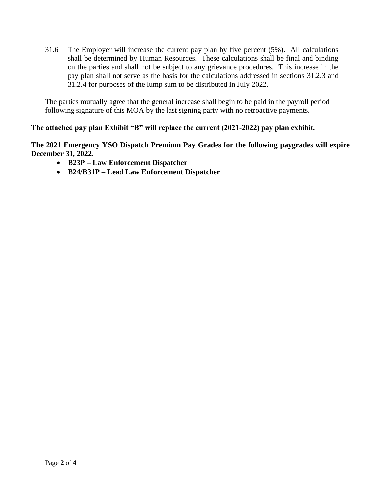31.6 The Employer will increase the current pay plan by five percent (5%). All calculations shall be determined by Human Resources. These calculations shall be final and binding on the parties and shall not be subject to any grievance procedures. This increase in the pay plan shall not serve as the basis for the calculations addressed in sections 31.2.3 and 31.2.4 for purposes of the lump sum to be distributed in July 2022.

The parties mutually agree that the general increase shall begin to be paid in the payroll period following signature of this MOA by the last signing party with no retroactive payments.

## **The attached pay plan Exhibit "B" will replace the current (2021-2022) pay plan exhibit.**

**The 2021 Emergency YSO Dispatch Premium Pay Grades for the following paygrades will expire December 31, 2022.**

- **B23P – Law Enforcement Dispatcher**
- **B24/B31P – Lead Law Enforcement Dispatcher**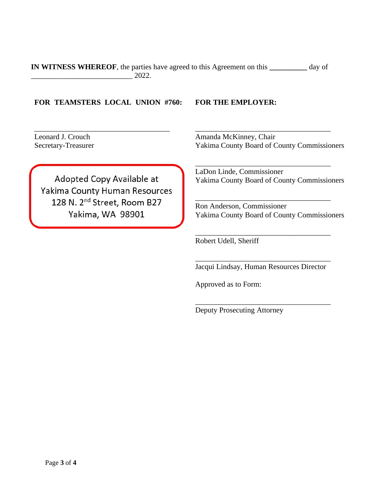**IN WITNESS WHEREOF**, the parties have agreed to this Agreement on this **\_\_\_\_\_\_\_\_\_\_** day of \_\_\_\_\_\_\_\_\_\_\_\_\_\_\_\_\_\_\_\_\_\_\_\_\_\_\_ 2022.

#### **FOR TEAMSTERS LOCAL UNION #760: FOR THE EMPLOYER:**

\_\_\_\_\_\_\_\_\_\_\_\_\_\_\_\_\_\_\_\_\_\_\_\_\_\_\_\_\_\_\_\_\_\_\_\_

Leonard J. Crouch Secretary-Treasurer

\_\_\_\_\_\_\_\_\_\_\_\_\_\_\_\_\_\_\_\_\_\_\_\_\_\_\_\_\_\_\_\_\_\_\_\_ Amanda McKinney, Chair Yakima County Board of County Commissioners

Adopted Copy Available at Yakima County Human Resources 128 N. 2<sup>nd</sup> Street, Room B27 Yakima, WA 98901

\_\_\_\_\_\_\_\_\_\_\_\_\_\_\_\_\_\_\_\_\_\_\_\_\_\_\_\_\_\_\_\_\_\_\_\_

LaDon Linde, Commissioner Yakima County Board of County Commissioners

Ron Anderson, Commissioner Yakima County Board of County Commissioners

\_\_\_\_\_\_\_\_\_\_\_\_\_\_\_\_\_\_\_\_\_\_\_\_\_\_\_\_\_\_\_\_\_\_\_\_

\_\_\_\_\_\_\_\_\_\_\_\_\_\_\_\_\_\_\_\_\_\_\_\_\_\_\_\_\_\_\_\_\_\_\_\_

Robert Udell, Sheriff

\_\_\_\_\_\_\_\_\_\_\_\_\_\_\_\_\_\_\_\_\_\_\_\_\_\_\_\_\_\_\_\_\_\_\_\_ Jacqui Lindsay, Human Resources Director

\_\_\_\_\_\_\_\_\_\_\_\_\_\_\_\_\_\_\_\_\_\_\_\_\_\_\_\_\_\_\_\_\_\_\_\_

Approved as to Form:

Deputy Prosecuting Attorney